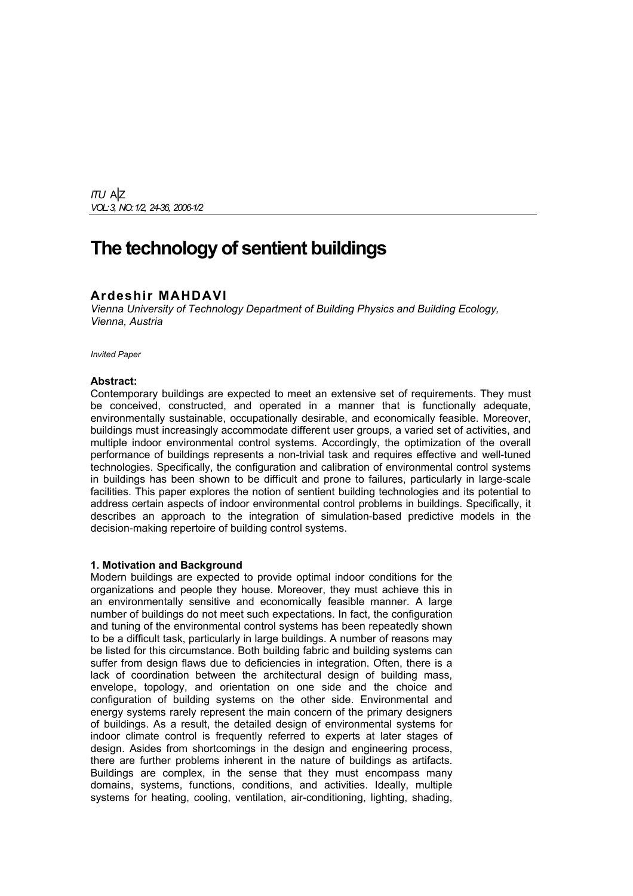*ITU* A|Z *VOL: 3, NO: 1/2, 24-36, 2006-1/2*

# **The technology of sentient buildings**

## **Ardeshir MAHDAVI**

*Vienna University of Technology Department of Building Physics and Building Ecology, Vienna, Austria* 

*Invited Paper* 

#### **Abstract:**

Contemporary buildings are expected to meet an extensive set of requirements. They must be conceived, constructed, and operated in a manner that is functionally adequate, environmentally sustainable, occupationally desirable, and economically feasible. Moreover, buildings must increasingly accommodate different user groups, a varied set of activities, and multiple indoor environmental control systems. Accordingly, the optimization of the overall performance of buildings represents a non-trivial task and requires effective and well-tuned technologies. Specifically, the configuration and calibration of environmental control systems in buildings has been shown to be difficult and prone to failures, particularly in large-scale facilities. This paper explores the notion of sentient building technologies and its potential to address certain aspects of indoor environmental control problems in buildings. Specifically, it describes an approach to the integration of simulation-based predictive models in the decision-making repertoire of building control systems.

## **1. Motivation and Background**

Modern buildings are expected to provide optimal indoor conditions for the organizations and people they house. Moreover, they must achieve this in an environmentally sensitive and economically feasible manner. A large number of buildings do not meet such expectations. In fact, the configuration and tuning of the environmental control systems has been repeatedly shown to be a difficult task, particularly in large buildings. A number of reasons may be listed for this circumstance. Both building fabric and building systems can suffer from design flaws due to deficiencies in integration. Often, there is a lack of coordination between the architectural design of building mass, envelope, topology, and orientation on one side and the choice and configuration of building systems on the other side. Environmental and energy systems rarely represent the main concern of the primary designers of buildings. As a result, the detailed design of environmental systems for indoor climate control is frequently referred to experts at later stages of design. Asides from shortcomings in the design and engineering process, there are further problems inherent in the nature of buildings as artifacts. Buildings are complex, in the sense that they must encompass many domains, systems, functions, conditions, and activities. Ideally, multiple systems for heating, cooling, ventilation, air-conditioning, lighting, shading,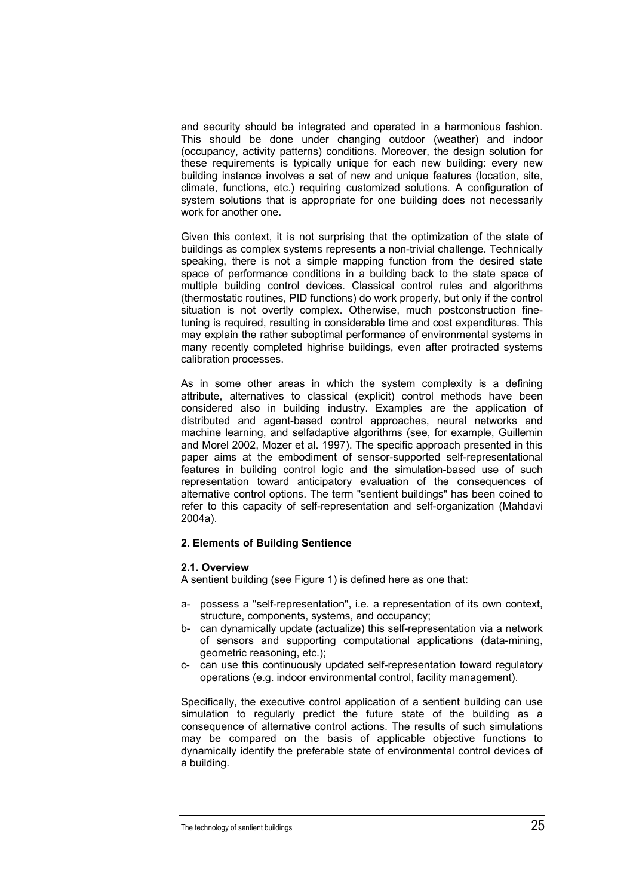and security should be integrated and operated in a harmonious fashion. This should be done under changing outdoor (weather) and indoor (occupancy, activity patterns) conditions. Moreover, the design solution for these requirements is typically unique for each new building: every new building instance involves a set of new and unique features (location, site, climate, functions, etc.) requiring customized solutions. A configuration of system solutions that is appropriate for one building does not necessarily work for another one.

Given this context, it is not surprising that the optimization of the state of buildings as complex systems represents a non-trivial challenge. Technically speaking, there is not a simple mapping function from the desired state space of performance conditions in a building back to the state space of multiple building control devices. Classical control rules and algorithms (thermostatic routines, PID functions) do work properly, but only if the control situation is not overtly complex. Otherwise, much postconstruction finetuning is required, resulting in considerable time and cost expenditures. This may explain the rather suboptimal performance of environmental systems in many recently completed highrise buildings, even after protracted systems calibration processes.

As in some other areas in which the system complexity is a defining attribute, alternatives to classical (explicit) control methods have been considered also in building industry. Examples are the application of distributed and agent-based control approaches, neural networks and machine learning, and selfadaptive algorithms (see, for example, Guillemin and Morel 2002, Mozer et al. 1997). The specific approach presented in this paper aims at the embodiment of sensor-supported self-representational features in building control logic and the simulation-based use of such representation toward anticipatory evaluation of the consequences of alternative control options. The term "sentient buildings" has been coined to refer to this capacity of self-representation and self-organization (Mahdavi 2004a).

## **2. Elements of Building Sentience**

## **2.1. Overview**

A sentient building (see Figure 1) is defined here as one that:

- a- possess a "self-representation", i.e. a representation of its own context, structure, components, systems, and occupancy;
- b- can dynamically update (actualize) this self-representation via a network of sensors and supporting computational applications (data-mining, geometric reasoning, etc.);
- c- can use this continuously updated self-representation toward regulatory operations (e.g. indoor environmental control, facility management).

Specifically, the executive control application of a sentient building can use simulation to regularly predict the future state of the building as a consequence of alternative control actions. The results of such simulations may be compared on the basis of applicable objective functions to dynamically identify the preferable state of environmental control devices of a building.

The technology of sentient buildings  $25$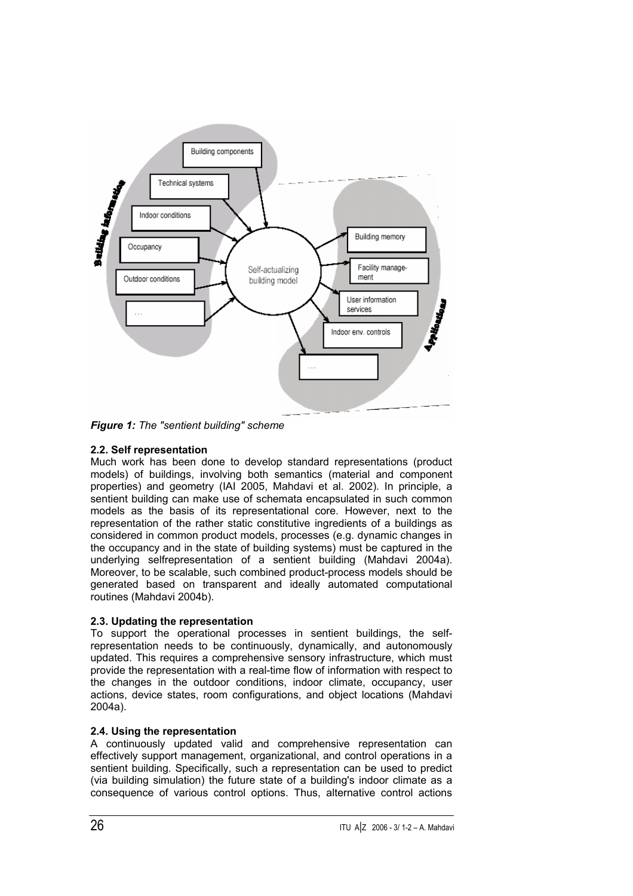

*Figure 1: The "sentient building" scheme* 

# **2.2. Self representation**

Much work has been done to develop standard representations (product models) of buildings, involving both semantics (material and component properties) and geometry (IAI 2005, Mahdavi et al. 2002). In principle, a sentient building can make use of schemata encapsulated in such common models as the basis of its representational core. However, next to the representation of the rather static constitutive ingredients of a buildings as considered in common product models, processes (e.g. dynamic changes in the occupancy and in the state of building systems) must be captured in the underlying selfrepresentation of a sentient building (Mahdavi 2004a). Moreover, to be scalable, such combined product-process models should be generated based on transparent and ideally automated computational routines (Mahdavi 2004b).

# **2.3. Updating the representation**

To support the operational processes in sentient buildings, the selfrepresentation needs to be continuously, dynamically, and autonomously updated. This requires a comprehensive sensory infrastructure, which must provide the representation with a real-time flow of information with respect to the changes in the outdoor conditions, indoor climate, occupancy, user actions, device states, room configurations, and object locations (Mahdavi 2004a).

# **2.4. Using the representation**

A continuously updated valid and comprehensive representation can effectively support management, organizational, and control operations in a sentient building. Specifically, such a representation can be used to predict (via building simulation) the future state of a building's indoor climate as a consequence of various control options. Thus, alternative control actions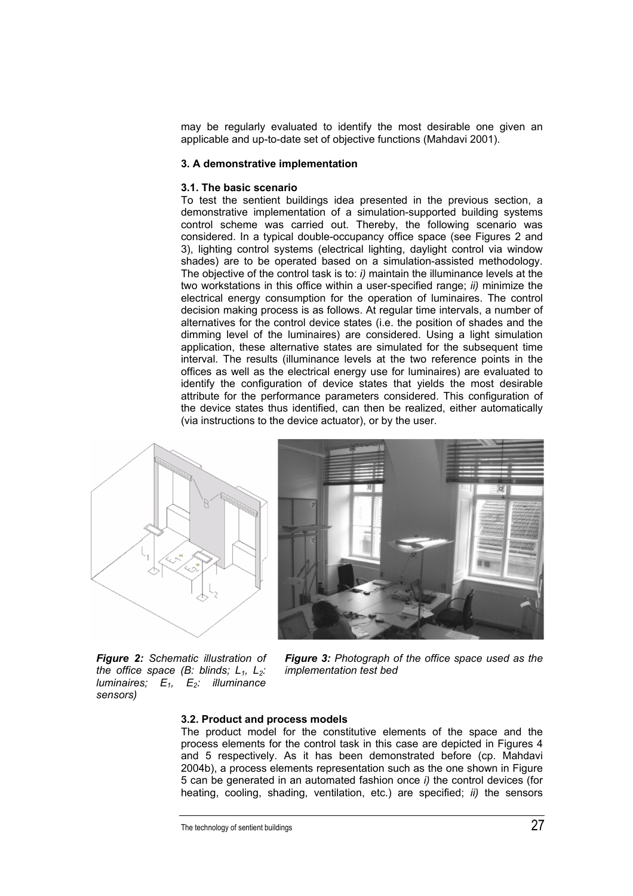may be regularly evaluated to identify the most desirable one given an applicable and up-to-date set of objective functions (Mahdavi 2001).

### **3. A demonstrative implementation**

#### **3.1. The basic scenario**

To test the sentient buildings idea presented in the previous section, a demonstrative implementation of a simulation-supported building systems control scheme was carried out. Thereby, the following scenario was considered. In a typical double-occupancy office space (see Figures 2 and 3), lighting control systems (electrical lighting, daylight control via window shades) are to be operated based on a simulation-assisted methodology. The objective of the control task is to: *i)* maintain the illuminance levels at the two workstations in this office within a user-specified range; *ii)* minimize the electrical energy consumption for the operation of luminaires. The control decision making process is as follows. At regular time intervals, a number of alternatives for the control device states (i.e. the position of shades and the dimming level of the luminaires) are considered. Using a light simulation application, these alternative states are simulated for the subsequent time interval. The results (illuminance levels at the two reference points in the offices as well as the electrical energy use for luminaires) are evaluated to identify the configuration of device states that yields the most desirable attribute for the performance parameters considered. This configuration of the device states thus identified, can then be realized, either automatically (via instructions to the device actuator), or by the user.





*Figure 2: Schematic illustration of the office space (B: blinds; L<sub>1</sub>, L<sub>2</sub>: luminaires;*  $E_1$ ,  $E_2$ : *illuminance sensors)* 

*Figure 3: Photograph of the office space used as the implementation test bed* 

### **3.2. Product and process models**

The product model for the constitutive elements of the space and the process elements for the control task in this case are depicted in Figures 4 and 5 respectively. As it has been demonstrated before (cp. Mahdavi 2004b), a process elements representation such as the one shown in Figure 5 can be generated in an automated fashion once *i)* the control devices (for heating, cooling, shading, ventilation, etc.) are specified; *ii)* the sensors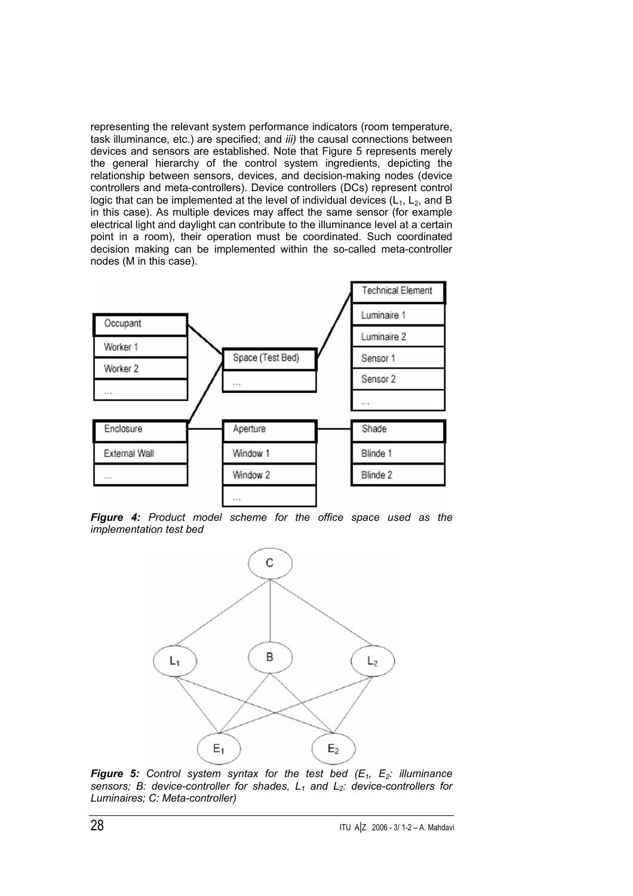representing the relevant system performance indicators (room temperature, task illuminance, etc.) are specified; and *iii)* the causal connections between devices and sensors are established. Note that Figure 5 represents merely the general hierarchy of the control system ingredients, depicting the relationship between sensors, devices, and decision-making nodes (device controllers and meta-controllers). Device controllers (DCs) represent control logic that can be implemented at the level of individual devices  $(L_1, L_2,$  and B in this case). As multiple devices may affect the same sensor (for example electrical light and daylight can contribute to the illuminance level at a certain point in a room), their operation must be coordinated. Such coordinated decision making can be implemented within the so-called meta-controller nodes (M in this case).



*Figure 4: Product model scheme for the office space used as the implementation test bed* 



**Figure 5:** Control system syntax for the test bed  $(E_1, E_2)$ : illuminance sensors; B: device-controller for shades, L<sub>1</sub> and L<sub>2</sub>: device-controllers for *Luminaires; C: Meta-controller)*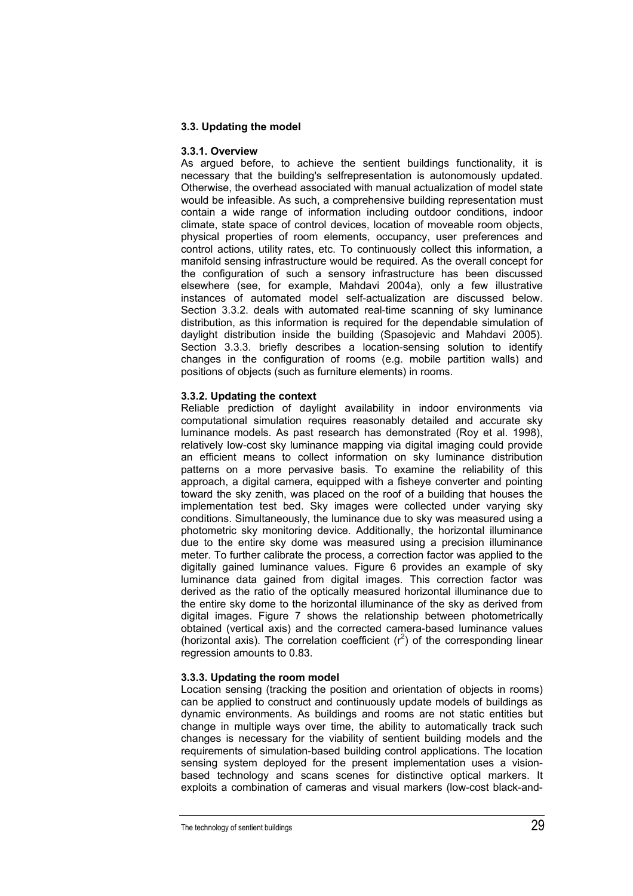## **3.3. Updating the model**

## **3.3.1. Overview**

As argued before, to achieve the sentient buildings functionality, it is necessary that the building's selfrepresentation is autonomously updated. Otherwise, the overhead associated with manual actualization of model state would be infeasible. As such, a comprehensive building representation must contain a wide range of information including outdoor conditions, indoor climate, state space of control devices, location of moveable room objects, physical properties of room elements, occupancy, user preferences and control actions, utility rates, etc. To continuously collect this information, a manifold sensing infrastructure would be required. As the overall concept for the configuration of such a sensory infrastructure has been discussed elsewhere (see, for example, Mahdavi 2004a), only a few illustrative instances of automated model self-actualization are discussed below. Section 3.3.2. deals with automated real-time scanning of sky luminance distribution, as this information is required for the dependable simulation of daylight distribution inside the building (Spasojevic and Mahdavi 2005). Section 3.3.3. briefly describes a location-sensing solution to identify changes in the configuration of rooms (e.g. mobile partition walls) and positions of objects (such as furniture elements) in rooms.

## **3.3.2. Updating the context**

Reliable prediction of daylight availability in indoor environments via computational simulation requires reasonably detailed and accurate sky luminance models. As past research has demonstrated (Roy et al. 1998), relatively low-cost sky luminance mapping via digital imaging could provide an efficient means to collect information on sky luminance distribution patterns on a more pervasive basis. To examine the reliability of this approach, a digital camera, equipped with a fisheye converter and pointing toward the sky zenith, was placed on the roof of a building that houses the implementation test bed. Sky images were collected under varying sky conditions. Simultaneously, the luminance due to sky was measured using a photometric sky monitoring device. Additionally, the horizontal illuminance due to the entire sky dome was measured using a precision illuminance meter. To further calibrate the process, a correction factor was applied to the digitally gained luminance values. Figure 6 provides an example of sky luminance data gained from digital images. This correction factor was derived as the ratio of the optically measured horizontal illuminance due to the entire sky dome to the horizontal illuminance of the sky as derived from digital images. Figure 7 shows the relationship between photometrically obtained (vertical axis) and the corrected camera-based luminance values (horizontal axis). The correlation coefficient  $(r^2)$  of the corresponding linear regression amounts to 0.83.

## **3.3.3. Updating the room model**

Location sensing (tracking the position and orientation of objects in rooms) can be applied to construct and continuously update models of buildings as dynamic environments. As buildings and rooms are not static entities but change in multiple ways over time, the ability to automatically track such changes is necessary for the viability of sentient building models and the requirements of simulation-based building control applications. The location sensing system deployed for the present implementation uses a visionbased technology and scans scenes for distinctive optical markers. It exploits a combination of cameras and visual markers (low-cost black-and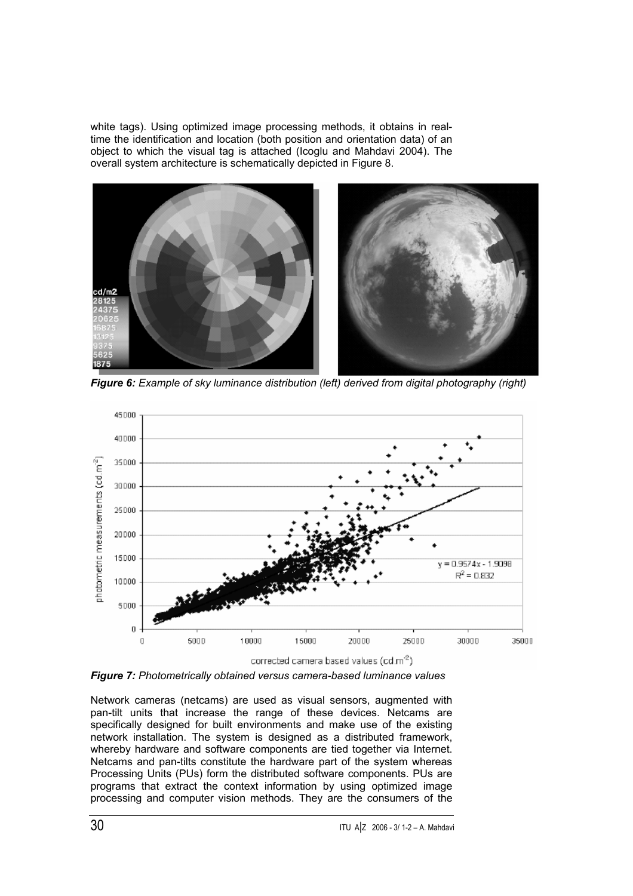white tags). Using optimized image processing methods, it obtains in realtime the identification and location (both position and orientation data) of an object to which the visual tag is attached (Icoglu and Mahdavi 2004). The overall system architecture is schematically depicted in Figure 8.



*Figure 6: Example of sky luminance distribution (left) derived from digital photography (right)* 



*Figure 7: Photometrically obtained versus camera-based luminance values* 

Network cameras (netcams) are used as visual sensors, augmented with pan-tilt units that increase the range of these devices. Netcams are specifically designed for built environments and make use of the existing network installation. The system is designed as a distributed framework, whereby hardware and software components are tied together via Internet. Netcams and pan-tilts constitute the hardware part of the system whereas Processing Units (PUs) form the distributed software components. PUs are programs that extract the context information by using optimized image processing and computer vision methods. They are the consumers of the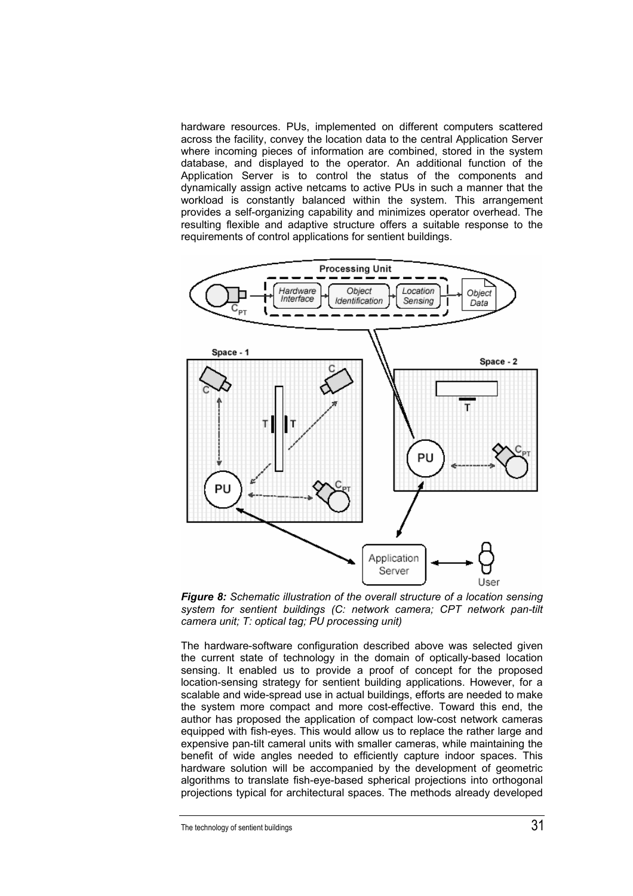hardware resources. PUs, implemented on different computers scattered across the facility, convey the location data to the central Application Server where incoming pieces of information are combined, stored in the system database, and displayed to the operator. An additional function of the Application Server is to control the status of the components and dynamically assign active netcams to active PUs in such a manner that the workload is constantly balanced within the system. This arrangement provides a self-organizing capability and minimizes operator overhead. The resulting flexible and adaptive structure offers a suitable response to the requirements of control applications for sentient buildings.



*Figure 8: Schematic illustration of the overall structure of a location sensing system for sentient buildings (C: network camera; CPT network pan-tilt camera unit; T: optical tag; PU processing unit)* 

The hardware-software configuration described above was selected given the current state of technology in the domain of optically-based location sensing. It enabled us to provide a proof of concept for the proposed location-sensing strategy for sentient building applications. However, for a scalable and wide-spread use in actual buildings, efforts are needed to make the system more compact and more cost-effective. Toward this end, the author has proposed the application of compact low-cost network cameras equipped with fish-eyes. This would allow us to replace the rather large and expensive pan-tilt cameral units with smaller cameras, while maintaining the benefit of wide angles needed to efficiently capture indoor spaces. This hardware solution will be accompanied by the development of geometric algorithms to translate fish-eye-based spherical projections into orthogonal projections typical for architectural spaces. The methods already developed

The technology of sentient buildings 31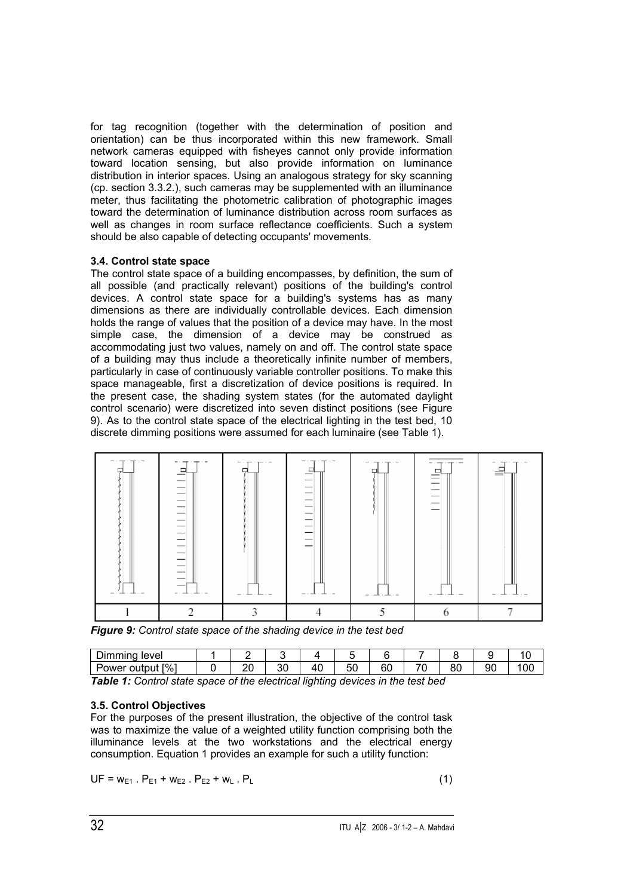for tag recognition (together with the determination of position and orientation) can be thus incorporated within this new framework. Small network cameras equipped with fisheyes cannot only provide information toward location sensing, but also provide information on luminance distribution in interior spaces. Using an analogous strategy for sky scanning (cp. section 3.3.2.), such cameras may be supplemented with an illuminance meter, thus facilitating the photometric calibration of photographic images toward the determination of luminance distribution across room surfaces as well as changes in room surface reflectance coefficients. Such a system should be also capable of detecting occupants' movements.

## **3.4. Control state space**

The control state space of a building encompasses, by definition, the sum of all possible (and practically relevant) positions of the building's control devices. A control state space for a building's systems has as many dimensions as there are individually controllable devices. Each dimension holds the range of values that the position of a device may have. In the most simple case, the dimension of a device may be construed as accommodating just two values, namely on and off. The control state space of a building may thus include a theoretically infinite number of members, particularly in case of continuously variable controller positions. To make this space manageable, first a discretization of device positions is required. In the present case, the shading system states (for the automated daylight control scenario) were discretized into seven distinct positions (see Figure 9). As to the control state space of the electrical lighting in the test bed, 10 discrete dimming positions were assumed for each luminaire (see Table 1).

| $\frac{1}{2} \left( \frac{1}{2} \right) \left( \frac{1}{2} \right) \left( \frac{1}{2} \right) \left( \frac{1}{2} \right) \left( \frac{1}{2} \right) \left( \frac{1}{2} \right) \left( \frac{1}{2} \right) \left( \frac{1}{2} \right) \left( \frac{1}{2} \right) \left( \frac{1}{2} \right) \left( \frac{1}{2} \right) \left( \frac{1}{2} \right) \left( \frac{1}{2} \right) \left( \frac{1}{2} \right) \left( \frac{1}{2} \right) \left( \frac{1}{2} \right) \left( \frac$<br>-- | ---------------<br>- -<br>a maker a ser<br>$-1$ | - - -<br>-<br><u>.</u><br> | 1.50<br>$\frac{1}{2}$<br>$\frac{1}{2}$<br>-<br>$\frac{1}{2} \left( \frac{1}{2} \right) \left( \frac{1}{2} \right) \left( \frac{1}{2} \right) \left( \frac{1}{2} \right) \left( \frac{1}{2} \right) \left( \frac{1}{2} \right) \left( \frac{1}{2} \right) \left( \frac{1}{2} \right) \left( \frac{1}{2} \right) \left( \frac{1}{2} \right) \left( \frac{1}{2} \right) \left( \frac{1}{2} \right) \left( \frac{1}{2} \right) \left( \frac{1}{2} \right) \left( \frac{1}{2} \right) \left( \frac{1}{2} \right) \left( \frac$<br>$-$<br>$\frac{1}{2} \left( \frac{1}{2} \right) \left( \frac{1}{2} \right) \left( \frac{1}{2} \right) \left( \frac{1}{2} \right) \left( \frac{1}{2} \right) \left( \frac{1}{2} \right) \left( \frac{1}{2} \right) \left( \frac{1}{2} \right) \left( \frac{1}{2} \right) \left( \frac{1}{2} \right) \left( \frac{1}{2} \right) \left( \frac{1}{2} \right) \left( \frac{1}{2} \right) \left( \frac{1}{2} \right) \left( \frac{1}{2} \right) \left( \frac{1}{2} \right) \left( \frac$<br>$\frac{1}{2} \left( \frac{1}{2} \right) \left( \frac{1}{2} \right) \left( \frac{1}{2} \right) \left( \frac{1}{2} \right) \left( \frac{1}{2} \right) \left( \frac{1}{2} \right) \left( \frac{1}{2} \right) \left( \frac{1}{2} \right) \left( \frac{1}{2} \right) \left( \frac{1}{2} \right) \left( \frac{1}{2} \right) \left( \frac{1}{2} \right) \left( \frac{1}{2} \right) \left( \frac{1}{2} \right) \left( \frac{1}{2} \right) \left( \frac{1}{2} \right) \left( \frac$<br>$\frac{1}{2} \left( \frac{1}{2} \right) \left( \frac{1}{2} \right) \left( \frac{1}{2} \right) \left( \frac{1}{2} \right) \left( \frac{1}{2} \right) \left( \frac{1}{2} \right) \left( \frac{1}{2} \right) \left( \frac{1}{2} \right) \left( \frac{1}{2} \right) \left( \frac{1}{2} \right) \left( \frac{1}{2} \right) \left( \frac{1}{2} \right) \left( \frac{1}{2} \right) \left( \frac{1}{2} \right) \left( \frac{1}{2} \right) \left( \frac{1}{2} \right) \left( \frac$<br>_<br>$\overline{\phantom{a}}$<br>- - | - - -<br>$\sim$ 1000 $\pm$<br>$\sim$ | $\overline{\phantom{a}}$<br>_<br>$\overline{\phantom{a}}$<br>$\overline{\phantom{a}}$<br>----- | $=$ |  |
|----------------------------------------------------------------------------------------------------------------------------------------------------------------------------------------------------------------------------------------------------------------------------------------------------------------------------------------------------------------------------------------------------------------------------------------------------------------------------------|-------------------------------------------------|----------------------------|--------------------------------------------------------------------------------------------------------------------------------------------------------------------------------------------------------------------------------------------------------------------------------------------------------------------------------------------------------------------------------------------------------------------------------------------------------------------------------------------------------------------------------------------------------------------------------------------------------------------------------------------------------------------------------------------------------------------------------------------------------------------------------------------------------------------------------------------------------------------------------------------------------------------------------------------------------------------------------------------------------------------------------------------------------------------------------------------------------------------------------------------------------------------------------------------------------------------------------------------------------------------------------------------------------------------------------------------------------------------------------------------------------------------------------------------------------------------------------------------------------------------------------------------------------------------------------------------------------------------------------------------------------------------------------------------------------------------------------------------------------------------------------------------------------------------------------------------------------------------------------------------------------------------------------------------------------------------------------------------------------------------|--------------------------------------|------------------------------------------------------------------------------------------------|-----|--|
|                                                                                                                                                                                                                                                                                                                                                                                                                                                                                  |                                                 |                            |                                                                                                                                                                                                                                                                                                                                                                                                                                                                                                                                                                                                                                                                                                                                                                                                                                                                                                                                                                                                                                                                                                                                                                                                                                                                                                                                                                                                                                                                                                                                                                                                                                                                                                                                                                                                                                                                                                                                                                                                                    |                                      |                                                                                                |     |  |

*Figure 9: Control state space of the shading device in the test bed* 

| - -<br>immina<br>level         |         |          |         |           |    |    |          |    |    |
|--------------------------------|---------|----------|---------|-----------|----|----|----------|----|----|
| $\sqrt{96}$<br>Power<br>output | nr<br>⊷ | or<br>υc | 4<br>т. | - -<br>ວເ | 60 | ¬∼ | or<br>οı | 9С | 00 |

*Table 1: Control state space of the electrical lighting devices in the test bed* 

# **3.5. Control Objectives**

For the purposes of the present illustration, the objective of the control task was to maximize the value of a weighted utility function comprising both the illuminance levels at the two workstations and the electrical energy consumption. Equation 1 provides an example for such a utility function:

$$
UF = w_{E1} \cdot P_{E1} + w_{E2} \cdot P_{E2} + w_L \cdot P_L
$$
 (1)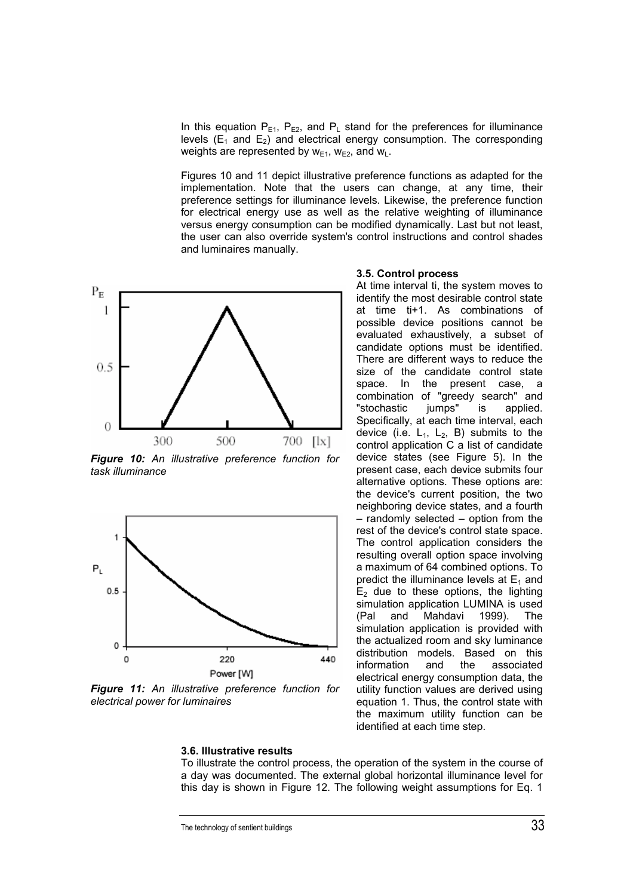In this equation  $P_{E1}$ ,  $P_{E2}$ , and  $P_L$  stand for the preferences for illuminance levels  $(E_1$  and  $E_2$ ) and electrical energy consumption. The corresponding weights are represented by  $w_{E1}$ ,  $w_{E2}$ , and  $w_{L}$ .

Figures 10 and 11 depict illustrative preference functions as adapted for the implementation. Note that the users can change, at any time, their preference settings for illuminance levels. Likewise, the preference function for electrical energy use as well as the relative weighting of illuminance versus energy consumption can be modified dynamically. Last but not least, the user can also override system's control instructions and control shades and luminaires manually.



*Figure 10: An illustrative preference function for task illuminance*



*Figure 11: An illustrative preference function for electrical power for luminaires* 

## **3.5. Control process**

At time interval ti, the system moves to identify the most desirable control state at time ti+1. As combinations of possible device positions cannot be evaluated exhaustively, a subset of candidate options must be identified. There are different ways to reduce the size of the candidate control state space. In the present case, a combination of "greedy search" and "stochastic jumps" is applied. Specifically, at each time interval, each device (i.e.  $L_1$ ,  $L_2$ , B) submits to the control application C a list of candidate device states (see Figure 5). In the present case, each device submits four alternative options. These options are: the device's current position, the two neighboring device states, and a fourth – randomly selected – option from the rest of the device's control state space. The control application considers the resulting overall option space involving a maximum of 64 combined options. To predict the illuminance levels at  $E_1$  and  $E<sub>2</sub>$  due to these options, the lighting simulation application LUMINA is used (Pal and Mahdavi 1999). The simulation application is provided with the actualized room and sky luminance distribution models. Based on this information and the associated electrical energy consumption data, the utility function values are derived using equation 1. Thus, the control state with the maximum utility function can be identified at each time step.

To illustrate the control process, the operation of the system in the course of a day was documented. The external global horizontal illuminance level for this day is shown in Figure 12. The following weight assumptions for Eq. 1

**3.6. Illustrative results** 

The technology of sentient buildings 33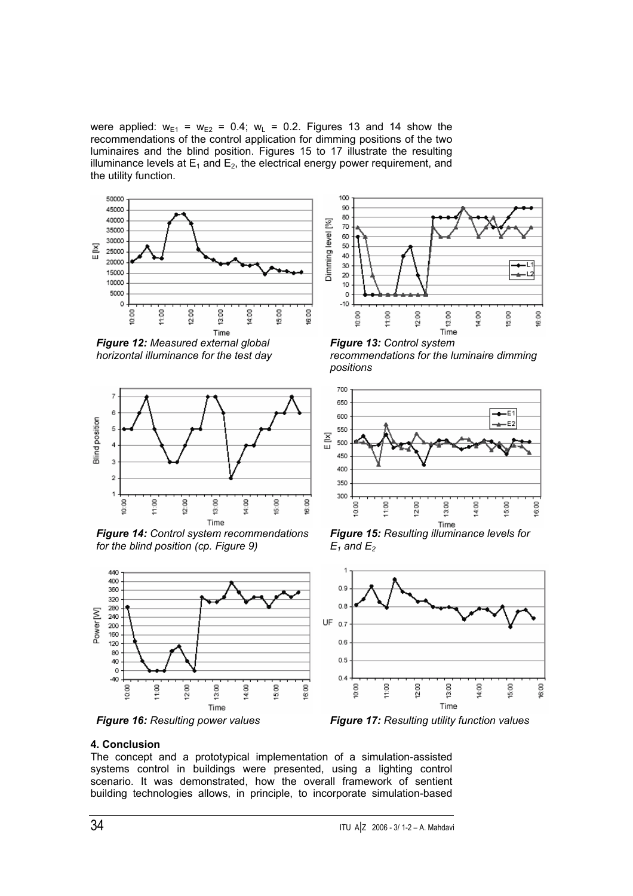were applied:  $w_{E1} = w_{E2} = 0.4$ ;  $w_L = 0.2$ . Figures 13 and 14 show the recommendations of the control application for dimming positions of the two luminaires and the blind position. Figures 15 to 17 illustrate the resulting illuminance levels at  $E_1$  and  $E_2$ , the electrical energy power requirement, and the utility function.



 *Figure 12: Measured external global horizontal illuminance for the test day* 



*for the blind position (cp. Figure 9)* 





*Figure 13: Control system recommendations for the luminaire dimming positions* 



*Figure 15: Resulting illuminance levels for*   $E_1$  and  $E_2$ 



## **4. Conclusion**

The concept and a prototypical implementation of a simulation-assisted systems control in buildings were presented, using a lighting control scenario. It was demonstrated, how the overall framework of sentient building technologies allows, in principle, to incorporate simulation-based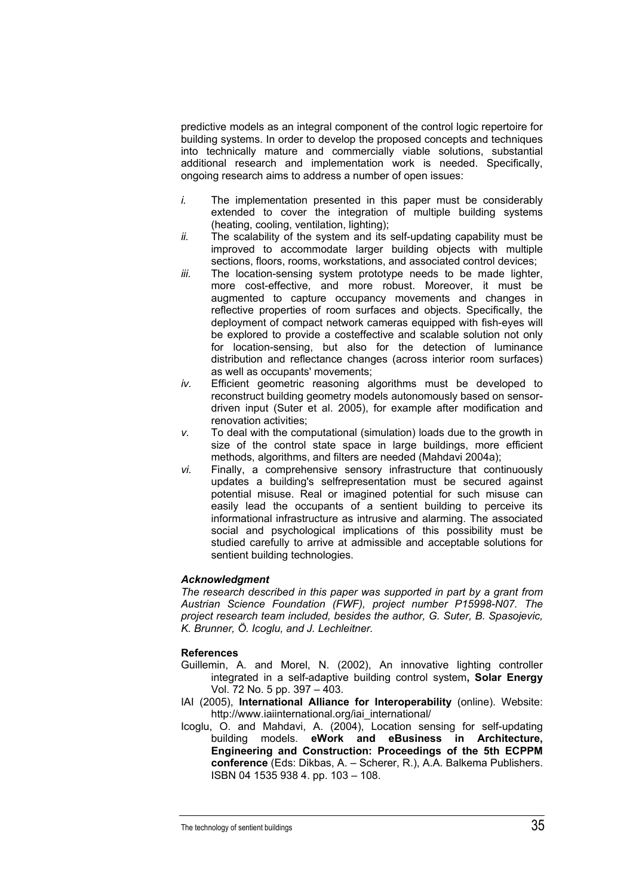predictive models as an integral component of the control logic repertoire for building systems. In order to develop the proposed concepts and techniques into technically mature and commercially viable solutions, substantial additional research and implementation work is needed. Specifically, ongoing research aims to address a number of open issues:

- *i.* The implementation presented in this paper must be considerably extended to cover the integration of multiple building systems (heating, cooling, ventilation, lighting);
- *ii.* The scalability of the system and its self-updating capability must be improved to accommodate larger building objects with multiple sections, floors, rooms, workstations, and associated control devices;
- *iii.* The location-sensing system prototype needs to be made lighter, more cost-effective, and more robust. Moreover, it must be augmented to capture occupancy movements and changes in reflective properties of room surfaces and objects. Specifically, the deployment of compact network cameras equipped with fish-eyes will be explored to provide a costeffective and scalable solution not only for location-sensing, but also for the detection of luminance distribution and reflectance changes (across interior room surfaces) as well as occupants' movements;
- *iv.* Efficient geometric reasoning algorithms must be developed to reconstruct building geometry models autonomously based on sensordriven input (Suter et al. 2005), for example after modification and renovation activities;
- *v.* To deal with the computational (simulation) loads due to the growth in size of the control state space in large buildings, more efficient methods, algorithms, and filters are needed (Mahdavi 2004a);
- *vi.* Finally, a comprehensive sensory infrastructure that continuously updates a building's selfrepresentation must be secured against potential misuse. Real or imagined potential for such misuse can easily lead the occupants of a sentient building to perceive its informational infrastructure as intrusive and alarming. The associated social and psychological implications of this possibility must be studied carefully to arrive at admissible and acceptable solutions for sentient building technologies.

## *Acknowledgment*

*The research described in this paper was supported in part by a grant from Austrian Science Foundation (FWF), project number P15998-N07. The project research team included, besides the author, G. Suter, B. Spasojevic, K. Brunner, Ö. Icoglu, and J. Lechleitner.* 

## **References**

- Guillemin, A. and Morel, N. (2002), An innovative lighting controller integrated in a self-adaptive building control system**, Solar Energy** Vol. 72 No. 5 pp. 397 – 403.
- IAI (2005), **International Alliance for Interoperability** (online). Website: http://www.iaiinternational.org/iai\_international/
- Icoglu, O. and Mahdavi, A. (2004), Location sensing for self-updating building models. **eWork and eBusiness in Architecture, Engineering and Construction: Proceedings of the 5th ECPPM conference** (Eds: Dikbas, A. – Scherer, R.), A.A. Balkema Publishers. ISBN 04 1535 938 4. pp. 103 – 108.

The technology of sentient buildings  $35$